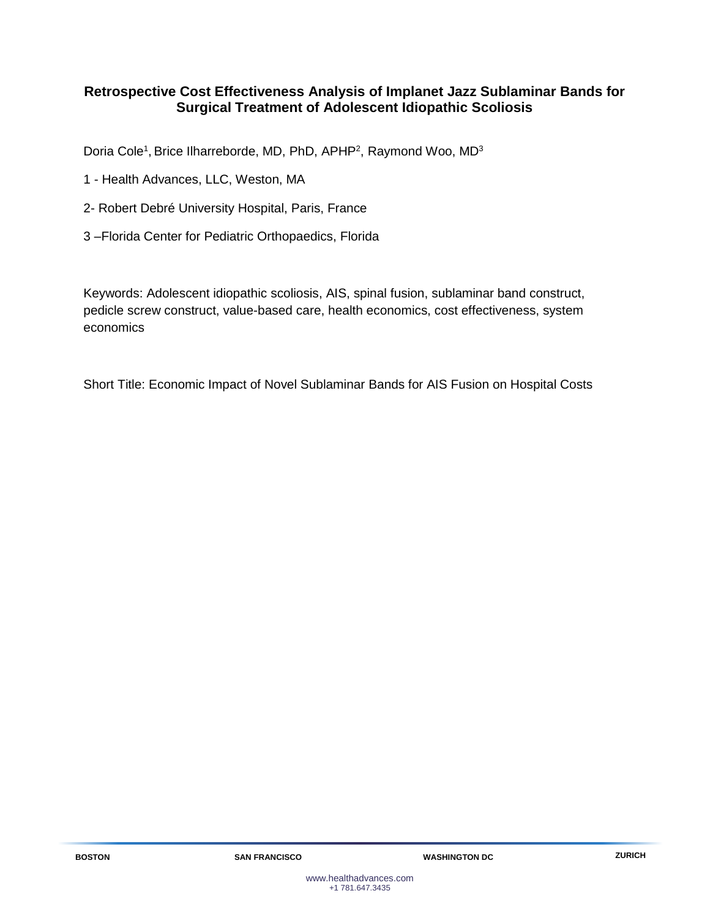# **Retrospective Cost Effectiveness Analysis of Implanet Jazz Sublaminar Bands for Surgical Treatment of Adolescent Idiopathic Scoliosis**

Doria Cole<sup>1</sup>, Brice Ilharreborde, MD, PhD, APHP<sup>2</sup>, Raymond Woo, MD<sup>3</sup>

- 1 Health Advances, LLC, Weston, MA
- 2- Robert Debré [University Hospital,](http://robertdebre.aphp.fr/) Paris, France
- 3 –Florida Center for Pediatric Orthopaedics, Florida

Keywords: Adolescent idiopathic scoliosis, AIS, spinal fusion, sublaminar band construct, pedicle screw construct, value-based care, health economics, cost effectiveness, system economics

Short Title: Economic Impact of Novel Sublaminar Bands for AIS Fusion on Hospital Costs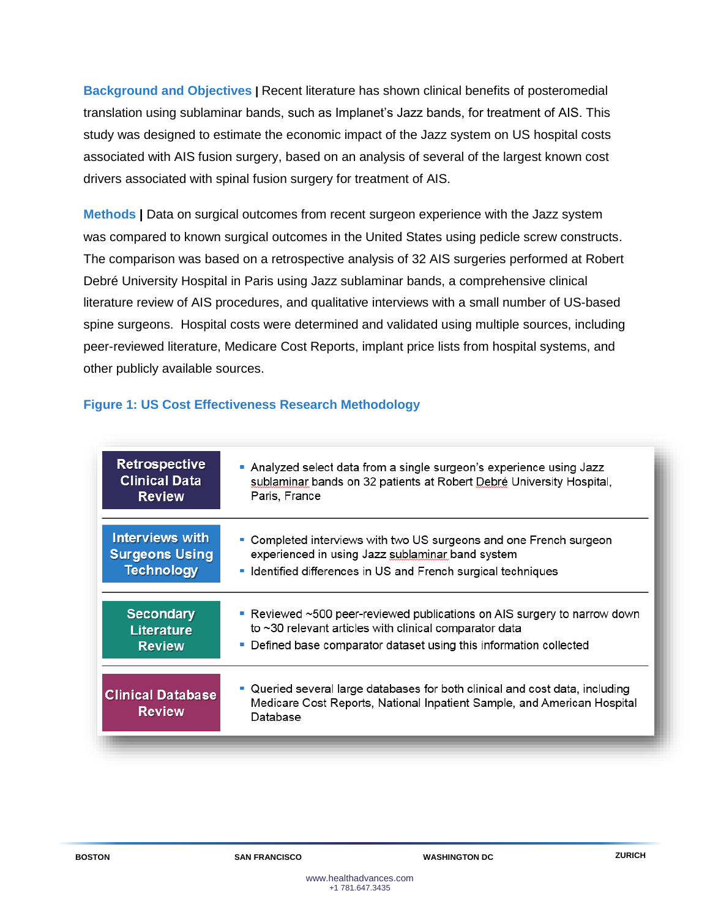**Background and Objectives |** Recent literature has shown clinical benefits of posteromedial translation using sublaminar bands, such as Implanet's Jazz bands, for treatment of AIS. This study was designed to estimate the economic impact of the Jazz system on US hospital costs associated with AIS fusion surgery, based on an analysis of several of the largest known cost drivers associated with spinal fusion surgery for treatment of AIS.

**Methods |** Data on surgical outcomes from recent surgeon experience with the Jazz system was compared to known surgical outcomes in the United States using pedicle screw constructs. The comparison was based on a retrospective analysis of 32 AIS surgeries performed at [Robert](http://robertdebre.aphp.fr/)  Debré [University Hospital](http://robertdebre.aphp.fr/) in Paris using Jazz sublaminar bands, a comprehensive clinical literature review of AIS procedures, and qualitative interviews with a small number of US-based spine surgeons. Hospital costs were determined and validated using multiple sources, including peer-reviewed literature, Medicare Cost Reports, implant price lists from hospital systems, and other publicly available sources.

# **Figure 1: US Cost Effectiveness Research Methodology**

| <b>Retrospective</b>                      | Analyzed select data from a single surgeon's experience using Jazz                                                                                                  |
|-------------------------------------------|---------------------------------------------------------------------------------------------------------------------------------------------------------------------|
| <b>Clinical Data</b>                      | sublaminar bands on 32 patients at Robert Debré University Hospital,                                                                                                |
| <b>Review</b>                             | Paris, France                                                                                                                                                       |
| <b>Interviews with</b>                    | • Completed interviews with two US surgeons and one French surgeon                                                                                                  |
| <b>Surgeons Using</b>                     | experienced in using Jazz sublaminar band system                                                                                                                    |
| <b>Technology</b>                         | - Identified differences in US and French surgical techniques                                                                                                       |
| <b>Secondary</b>                          | ■ Reviewed ~500 peer-reviewed publications on AIS surgery to narrow down                                                                                            |
| <b>Literature</b>                         | to $\sim$ 30 relevant articles with clinical comparator data                                                                                                        |
| <b>Review</b>                             | • Defined base comparator dataset using this information collected                                                                                                  |
| <b>Clinical Database</b><br><b>Review</b> | . Queried several large databases for both clinical and cost data, including<br>Medicare Cost Reports, National Inpatient Sample, and American Hospital<br>Database |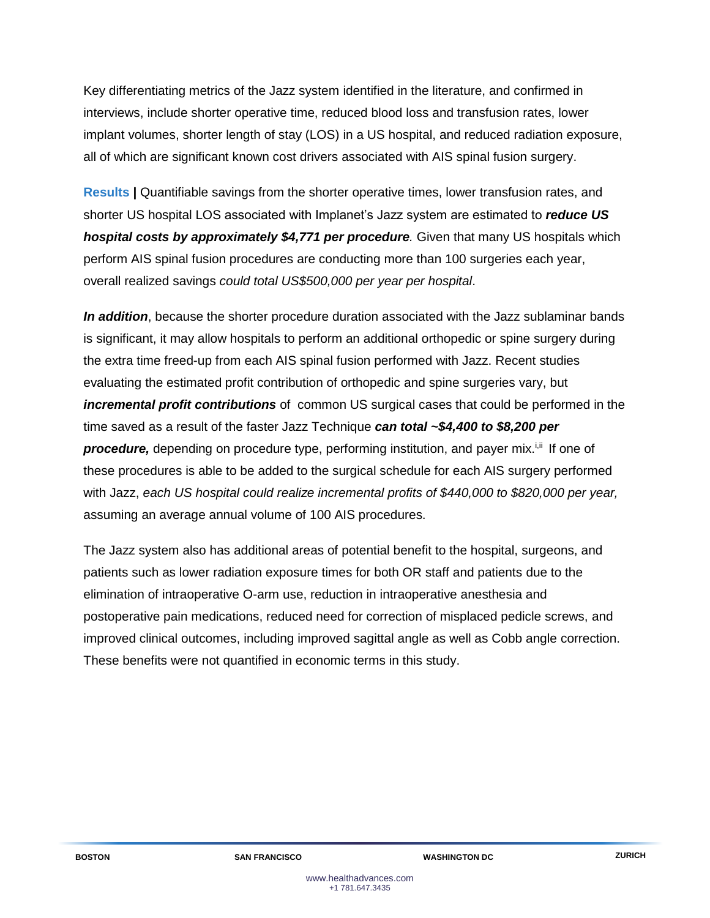Key differentiating metrics of the Jazz system identified in the literature, and confirmed in interviews, include shorter operative time, reduced blood loss and transfusion rates, lower implant volumes, shorter length of stay (LOS) in a US hospital, and reduced radiation exposure, all of which are significant known cost drivers associated with AIS spinal fusion surgery.

**Results |** Quantifiable savings from the shorter operative times, lower transfusion rates, and shorter US hospital LOS associated with Implanet's Jazz system are estimated to *reduce US hospital costs by approximately \$4,771 per procedure.* Given that many US hospitals which perform AIS spinal fusion procedures are conducting more than 100 surgeries each year, overall realized savings *could total US\$500,000 per year per hospital*.

*In addition*, because the shorter procedure duration associated with the Jazz sublaminar bands is significant, it may allow hospitals to perform an additional orthopedic or spine surgery during the extra time freed-up from each AIS spinal fusion performed with Jazz. Recent studies evaluating the estimated profit contribution of orthopedic and spine surgeries vary, but *incremental profit contributions* of common US surgical cases that could be performed in the time saved as a result of the faster Jazz Technique *can total ~\$4,400 to \$8,200 per*  **procedure,** depending on procedure type, performing institution, and payer mix.<sup>i,ii</sup> If one of these procedures is able to be added to the surgical schedule for each AIS surgery performed with Jazz, *each US hospital could realize incremental profits of \$440,000 to \$820,000 per year,*  assuming an average annual volume of 100 AIS procedures.

The Jazz system also has additional areas of potential benefit to the hospital, surgeons, and patients such as lower radiation exposure times for both OR staff and patients due to the elimination of intraoperative O-arm use, reduction in intraoperative anesthesia and postoperative pain medications, reduced need for correction of misplaced pedicle screws, and improved clinical outcomes, including improved sagittal angle as well as Cobb angle correction. These benefits were not quantified in economic terms in this study.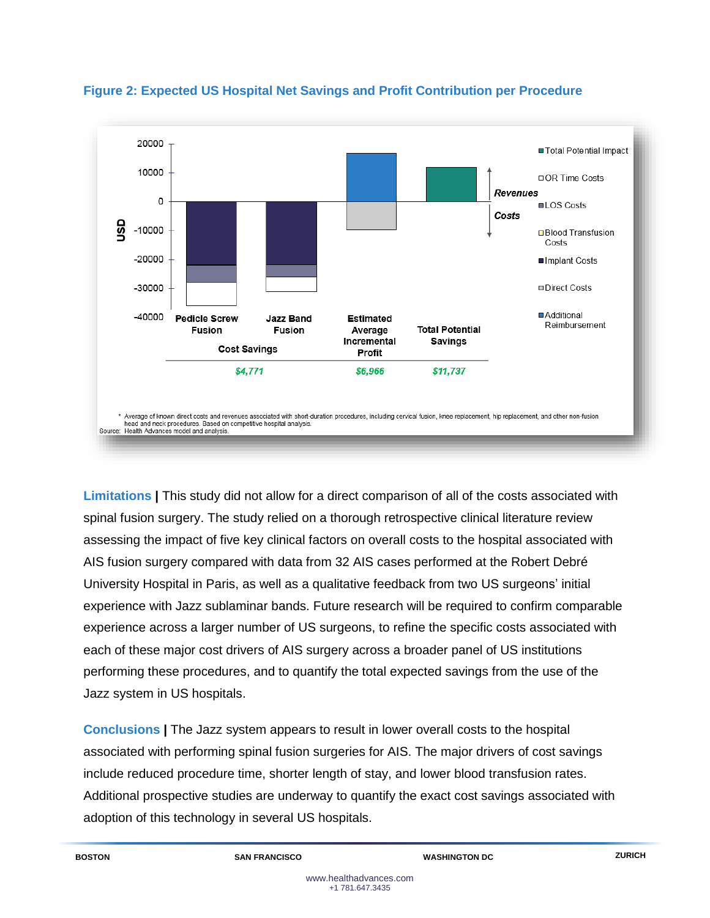

# **Figure 2: Expected US Hospital Net Savings and Profit Contribution per Procedure**

**Limitations |** This study did not allow for a direct comparison of all of the costs associated with spinal fusion surgery. The study relied on a thorough retrospective clinical literature review assessing the impact of five key clinical factors on overall costs to the hospital associated with AIS fusion surgery compared with data from 32 AIS cases performed at the [Robert Debré](http://robertdebre.aphp.fr/)  [University Hospital](http://robertdebre.aphp.fr/) in Paris, as well as a qualitative feedback from two US surgeons' initial experience with Jazz sublaminar bands. Future research will be required to confirm comparable experience across a larger number of US surgeons, to refine the specific costs associated with each of these major cost drivers of AIS surgery across a broader panel of US institutions performing these procedures, and to quantify the total expected savings from the use of the Jazz system in US hospitals.

**Conclusions |** The Jazz system appears to result in lower overall costs to the hospital associated with performing spinal fusion surgeries for AIS. The major drivers of cost savings include reduced procedure time, shorter length of stay, and lower blood transfusion rates. Additional prospective studies are underway to quantify the exact cost savings associated with adoption of this technology in several US hospitals.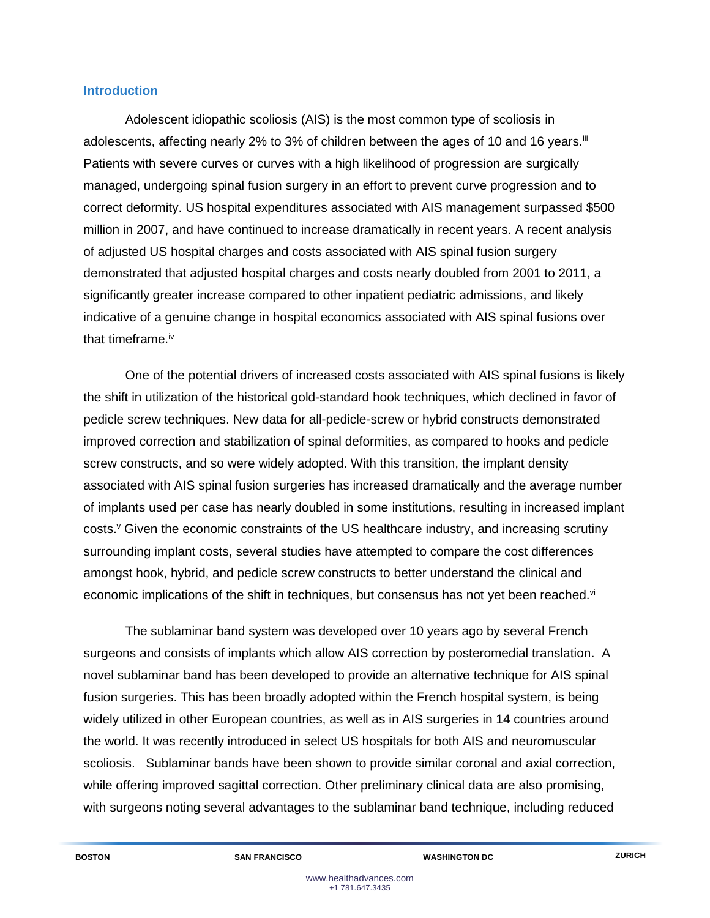### **Introduction**

Adolescent idiopathic scoliosis (AIS) is the most common type of scoliosis in adolescents, affecting nearly 2% to 3% of children between the ages of 10 and 16 years.<sup>iii</sup> Patients with severe curves or curves with a high likelihood of progression are surgically managed, undergoing spinal fusion surgery in an effort to prevent curve progression and to correct deformity. US hospital expenditures associated with AIS management surpassed \$500 million in 2007, and have continued to increase dramatically in recent years. A recent analysis of adjusted US hospital charges and costs associated with AIS spinal fusion surgery demonstrated that adjusted hospital charges and costs nearly doubled from 2001 to 2011, a significantly greater increase compared to other inpatient pediatric admissions, and likely indicative of a genuine change in hospital economics associated with AIS spinal fusions over that timeframe.<sup>iv</sup>

One of the potential drivers of increased costs associated with AIS spinal fusions is likely the shift in utilization of the historical gold-standard hook techniques, which declined in favor of pedicle screw techniques. New data for all-pedicle-screw or hybrid constructs demonstrated improved correction and stabilization of spinal deformities, as compared to hooks and pedicle screw constructs, and so were widely adopted. With this transition, the implant density associated with AIS spinal fusion surgeries has increased dramatically and the average number of implants used per case has nearly doubled in some institutions, resulting in increased implant costs. <sup>v</sup> Given the economic constraints of the US healthcare industry, and increasing scrutiny surrounding implant costs, several studies have attempted to compare the cost differences amongst hook, hybrid, and pedicle screw constructs to better understand the clinical and economic implications of the shift in techniques, but consensus has not yet been reached.<sup>vi</sup>

The sublaminar band system was developed over 10 years ago by several French surgeons and consists of implants which allow AIS correction by posteromedial translation. A novel sublaminar band has been developed to provide an alternative technique for AIS spinal fusion surgeries. This has been broadly adopted within the French hospital system, is being widely utilized in other European countries, as well as in AIS surgeries in 14 countries around the world. It was recently introduced in select US hospitals for both AIS and neuromuscular scoliosis. Sublaminar bands have been shown to provide similar coronal and axial correction, while offering improved sagittal correction. Other preliminary clinical data are also promising, with surgeons noting several advantages to the sublaminar band technique, including reduced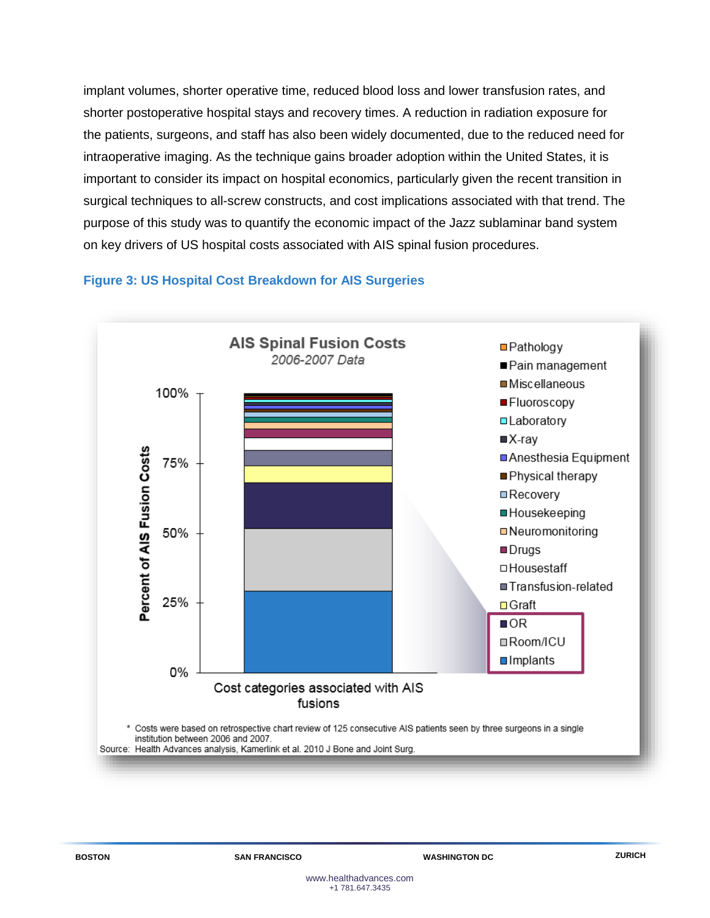implant volumes, shorter operative time, reduced blood loss and lower transfusion rates, and shorter postoperative hospital stays and recovery times. A reduction in radiation exposure for the patients, surgeons, and staff has also been widely documented, due to the reduced need for intraoperative imaging. As the technique gains broader adoption within the United States, it is important to consider its impact on hospital economics, particularly given the recent transition in surgical techniques to all-screw constructs, and cost implications associated with that trend. The purpose of this study was to quantify the economic impact of the Jazz sublaminar band system on key drivers of US hospital costs associated with AIS spinal fusion procedures.



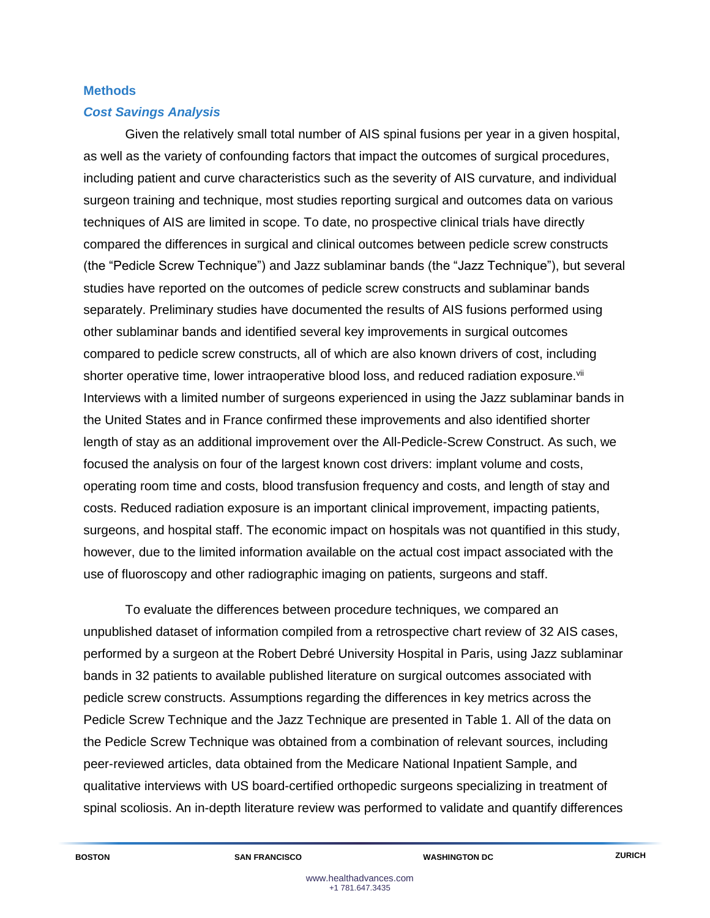### **Methods**

### *Cost Savings Analysis*

Given the relatively small total number of AIS spinal fusions per year in a given hospital, as well as the variety of confounding factors that impact the outcomes of surgical procedures, including patient and curve characteristics such as the severity of AIS curvature, and individual surgeon training and technique, most studies reporting surgical and outcomes data on various techniques of AIS are limited in scope. To date, no prospective clinical trials have directly compared the differences in surgical and clinical outcomes between pedicle screw constructs (the "Pedicle Screw Technique") and Jazz sublaminar bands (the "Jazz Technique"), but several studies have reported on the outcomes of pedicle screw constructs and sublaminar bands separately. Preliminary studies have documented the results of AIS fusions performed using other sublaminar bands and identified several key improvements in surgical outcomes compared to pedicle screw constructs, all of which are also known drivers of cost, including shorter operative time, lower intraoperative blood loss, and reduced radiation exposure.<sup>vii</sup> Interviews with a limited number of surgeons experienced in using the Jazz sublaminar bands in the United States and in France confirmed these improvements and also identified shorter length of stay as an additional improvement over the All-Pedicle-Screw Construct. As such, we focused the analysis on four of the largest known cost drivers: implant volume and costs, operating room time and costs, blood transfusion frequency and costs, and length of stay and costs. Reduced radiation exposure is an important clinical improvement, impacting patients, surgeons, and hospital staff. The economic impact on hospitals was not quantified in this study, however, due to the limited information available on the actual cost impact associated with the use of fluoroscopy and other radiographic imaging on patients, surgeons and staff.

To evaluate the differences between procedure techniques, we compared an unpublished dataset of information compiled from a retrospective chart review of 32 AIS cases, performed by a surgeon at the Robert Debré [University Hospital](http://robertdebre.aphp.fr/) in Paris, using Jazz sublaminar bands in 32 patients to available published literature on surgical outcomes associated with pedicle screw constructs. Assumptions regarding the differences in key metrics across the Pedicle Screw Technique and the Jazz Technique are presented in Table 1. All of the data on the Pedicle Screw Technique was obtained from a combination of relevant sources, including peer-reviewed articles, data obtained from the Medicare National Inpatient Sample, and qualitative interviews with US board-certified orthopedic surgeons specializing in treatment of spinal scoliosis. An in-depth literature review was performed to validate and quantify differences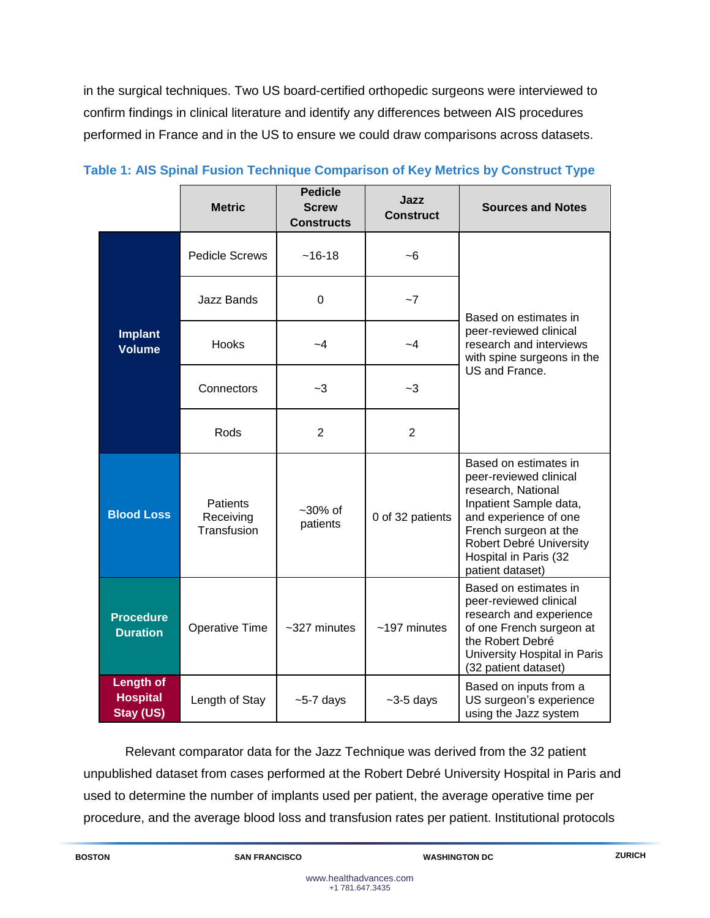in the surgical techniques. Two US board-certified orthopedic surgeons were interviewed to confirm findings in clinical literature and identify any differences between AIS procedures performed in France and in the US to ensure we could draw comparisons across datasets.

|                                                  | <b>Metric</b>                        | <b>Pedicle</b><br><b>Screw</b><br><b>Constructs</b> | Jazz<br><b>Construct</b> | <b>Sources and Notes</b>                                                                                                                                                                                                  |
|--------------------------------------------------|--------------------------------------|-----------------------------------------------------|--------------------------|---------------------------------------------------------------------------------------------------------------------------------------------------------------------------------------------------------------------------|
|                                                  | <b>Pedicle Screws</b>                | $~16-18$                                            | ~6                       |                                                                                                                                                                                                                           |
|                                                  | Jazz Bands                           | $\Omega$                                            | $-7$                     | Based on estimates in                                                                                                                                                                                                     |
| <b>Implant</b><br><b>Volume</b>                  | Hooks                                | $-4$                                                | $-4$                     | peer-reviewed clinical<br>research and interviews<br>with spine surgeons in the                                                                                                                                           |
|                                                  | Connectors                           | $-3$                                                | $-3$                     | US and France.                                                                                                                                                                                                            |
|                                                  | Rods                                 | $\overline{2}$                                      | $\overline{2}$           |                                                                                                                                                                                                                           |
| <b>Blood Loss</b>                                | Patients<br>Receiving<br>Transfusion | $~20\%$ of<br>patients                              | 0 of 32 patients         | Based on estimates in<br>peer-reviewed clinical<br>research, National<br>Inpatient Sample data,<br>and experience of one<br>French surgeon at the<br>Robert Debré University<br>Hospital in Paris (32<br>patient dataset) |
| <b>Procedure</b><br><b>Duration</b>              | <b>Operative Time</b>                | $~127$ minutes                                      | $~197$ minutes           | Based on estimates in<br>peer-reviewed clinical<br>research and experience<br>of one French surgeon at<br>the Robert Debré<br>University Hospital in Paris<br>(32 patient dataset)                                        |
| <b>Length of</b><br><b>Hospital</b><br>Stay (US) | Length of Stay                       | $-5-7$ days                                         | $-3-5$ days              | Based on inputs from a<br>US surgeon's experience<br>using the Jazz system                                                                                                                                                |

|  | Table 1: AIS Spinal Fusion Technique Comparison of Key Metrics by Construct Type |  |
|--|----------------------------------------------------------------------------------|--|
|  |                                                                                  |  |

Relevant comparator data for the Jazz Technique was derived from the 32 patient unpublished dataset from cases performed at the [Robert Debré University Hospital](http://robertdebre.aphp.fr/) in Paris and used to determine the number of implants used per patient, the average operative time per procedure, and the average blood loss and transfusion rates per patient. Institutional protocols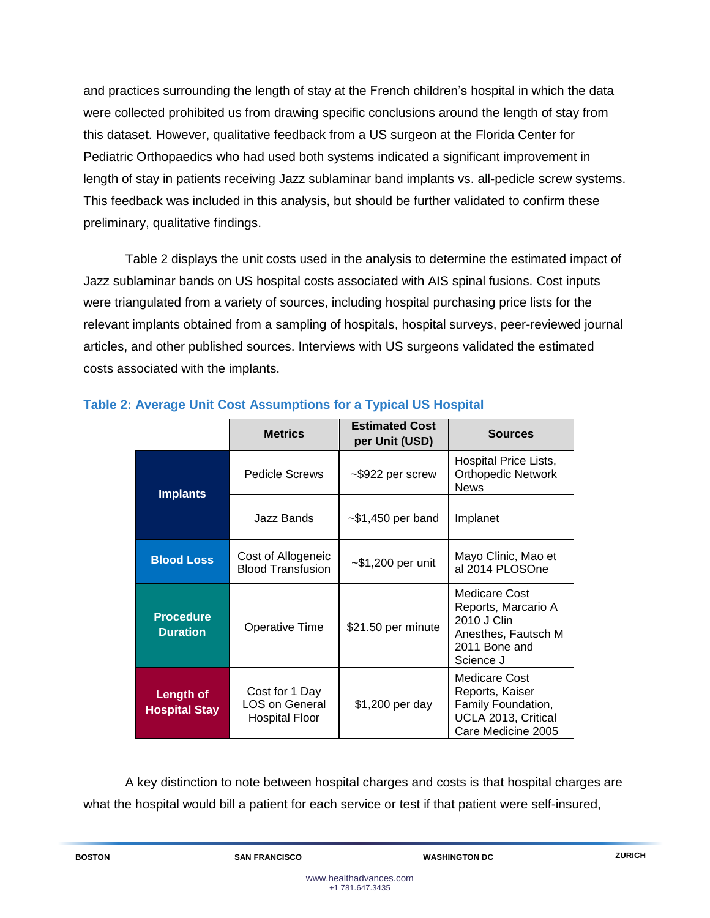and practices surrounding the length of stay at the French children's hospital in which the data were collected prohibited us from drawing specific conclusions around the length of stay from this dataset. However, qualitative feedback from a US surgeon at the Florida Center for Pediatric Orthopaedics who had used both systems indicated a significant improvement in length of stay in patients receiving Jazz sublaminar band implants vs. all-pedicle screw systems. This feedback was included in this analysis, but should be further validated to confirm these preliminary, qualitative findings.

Table 2 displays the unit costs used in the analysis to determine the estimated impact of Jazz sublaminar bands on US hospital costs associated with AIS spinal fusions. Cost inputs were triangulated from a variety of sources, including hospital purchasing price lists for the relevant implants obtained from a sampling of hospitals, hospital surveys, peer-reviewed journal articles, and other published sources. Interviews with US surgeons validated the estimated costs associated with the implants.

|                                          | <b>Metrics</b>                                     | <b>Estimated Cost</b><br>per Unit (USD) | <b>Sources</b>                                                                                             |  |
|------------------------------------------|----------------------------------------------------|-----------------------------------------|------------------------------------------------------------------------------------------------------------|--|
| <b>Implants</b>                          | Pedicle Screws                                     | ~\$922 per screw                        | Hospital Price Lists,<br><b>Orthopedic Network</b><br><b>News</b>                                          |  |
|                                          | Jazz Bands<br>$\sim$ \$1,450 per band              |                                         | Implanet                                                                                                   |  |
| <b>Blood Loss</b>                        | Cost of Allogeneic<br><b>Blood Transfusion</b>     | $~51,200$ per unit                      | Mayo Clinic, Mao et<br>al 2014 PLOSOne                                                                     |  |
| <b>Procedure</b><br><b>Duration</b>      | Operative Time                                     | \$21.50 per minute                      | Medicare Cost<br>Reports, Marcario A<br>2010 J Clin<br>Anesthes, Fautsch M<br>2011 Bone and<br>Science J   |  |
| <b>Length of</b><br><b>Hospital Stay</b> | Cost for 1 Day<br>LOS on General<br>Hospital Floor | \$1,200 per day                         | <b>Medicare Cost</b><br>Reports, Kaiser<br>Family Foundation,<br>UCLA 2013, Critical<br>Care Medicine 2005 |  |

# **Table 2: Average Unit Cost Assumptions for a Typical US Hospital**

A key distinction to note between hospital charges and costs is that hospital charges are what the hospital would bill a patient for each service or test if that patient were self-insured,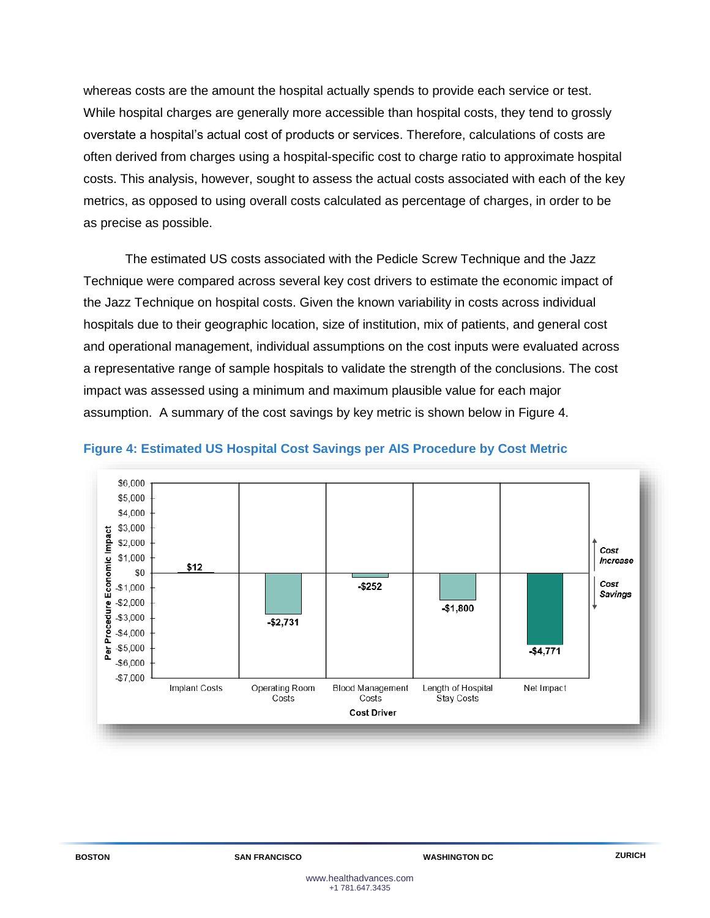whereas costs are the amount the hospital actually spends to provide each service or test. While hospital charges are generally more accessible than hospital costs, they tend to grossly overstate a hospital's actual cost of products or services. Therefore, calculations of costs are often derived from charges using a hospital-specific cost to charge ratio to approximate hospital costs. This analysis, however, sought to assess the actual costs associated with each of the key metrics, as opposed to using overall costs calculated as percentage of charges, in order to be as precise as possible.

The estimated US costs associated with the Pedicle Screw Technique and the Jazz Technique were compared across several key cost drivers to estimate the economic impact of the Jazz Technique on hospital costs. Given the known variability in costs across individual hospitals due to their geographic location, size of institution, mix of patients, and general cost and operational management, individual assumptions on the cost inputs were evaluated across a representative range of sample hospitals to validate the strength of the conclusions. The cost impact was assessed using a minimum and maximum plausible value for each major assumption. A summary of the cost savings by key metric is shown below in Figure 4.



#### **Figure 4: Estimated US Hospital Cost Savings per AIS Procedure by Cost Metric**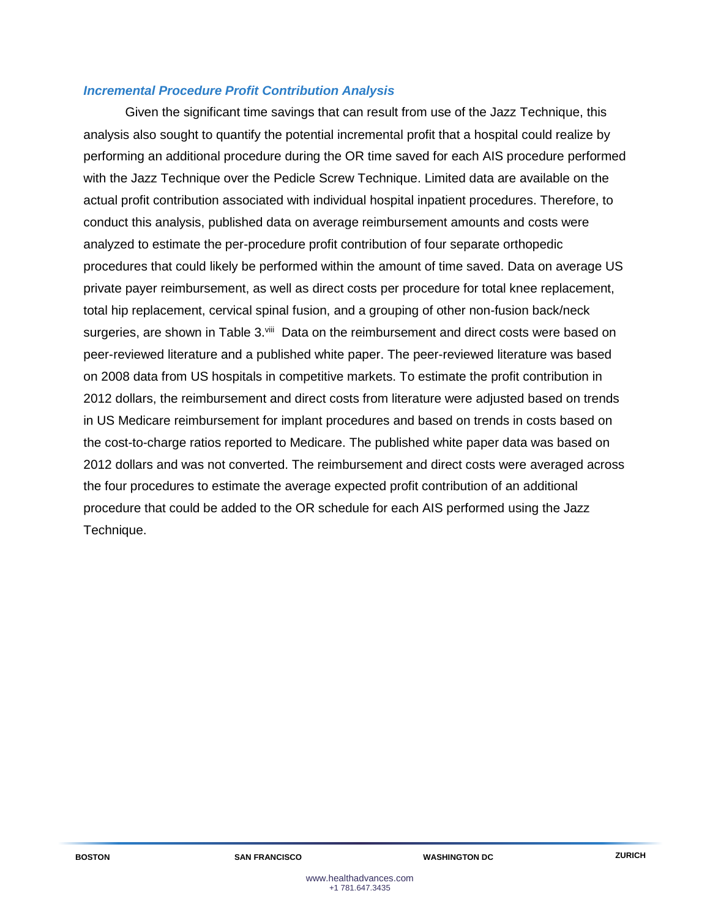## *Incremental Procedure Profit Contribution Analysis*

Given the significant time savings that can result from use of the Jazz Technique, this analysis also sought to quantify the potential incremental profit that a hospital could realize by performing an additional procedure during the OR time saved for each AIS procedure performed with the Jazz Technique over the Pedicle Screw Technique. Limited data are available on the actual profit contribution associated with individual hospital inpatient procedures. Therefore, to conduct this analysis, published data on average reimbursement amounts and costs were analyzed to estimate the per-procedure profit contribution of four separate orthopedic procedures that could likely be performed within the amount of time saved. Data on average US private payer reimbursement, as well as direct costs per procedure for total knee replacement, total hip replacement, cervical spinal fusion, and a grouping of other non-fusion back/neck surgeries, are shown in Table 3.<sup>viii</sup> Data on the reimbursement and direct costs were based on peer-reviewed literature and a published white paper. The peer-reviewed literature was based on 2008 data from US hospitals in competitive markets. To estimate the profit contribution in 2012 dollars, the reimbursement and direct costs from literature were adjusted based on trends in US Medicare reimbursement for implant procedures and based on trends in costs based on the cost-to-charge ratios reported to Medicare. The published white paper data was based on 2012 dollars and was not converted. The reimbursement and direct costs were averaged across the four procedures to estimate the average expected profit contribution of an additional procedure that could be added to the OR schedule for each AIS performed using the Jazz Technique.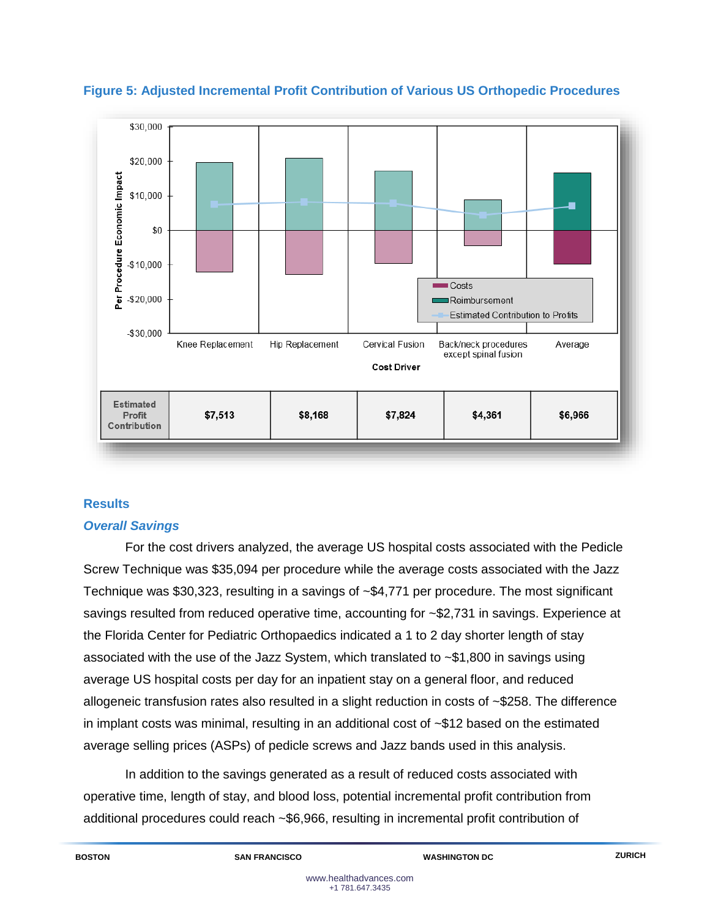

**Figure 5: Adjusted Incremental Profit Contribution of Various US Orthopedic Procedures** 

# **Results**

# *Overall Savings*

For the cost drivers analyzed, the average US hospital costs associated with the Pedicle Screw Technique was \$35,094 per procedure while the average costs associated with the Jazz Technique was \$30,323, resulting in a savings of ~\$4,771 per procedure. The most significant savings resulted from reduced operative time, accounting for ~\$2,731 in savings. Experience at the Florida Center for Pediatric Orthopaedics indicated a 1 to 2 day shorter length of stay associated with the use of the Jazz System, which translated to ~\$1,800 in savings using average US hospital costs per day for an inpatient stay on a general floor, and reduced allogeneic transfusion rates also resulted in a slight reduction in costs of ~\$258. The difference in implant costs was minimal, resulting in an additional cost of ~\$12 based on the estimated average selling prices (ASPs) of pedicle screws and Jazz bands used in this analysis.

In addition to the savings generated as a result of reduced costs associated with operative time, length of stay, and blood loss, potential incremental profit contribution from additional procedures could reach ~\$6,966, resulting in incremental profit contribution of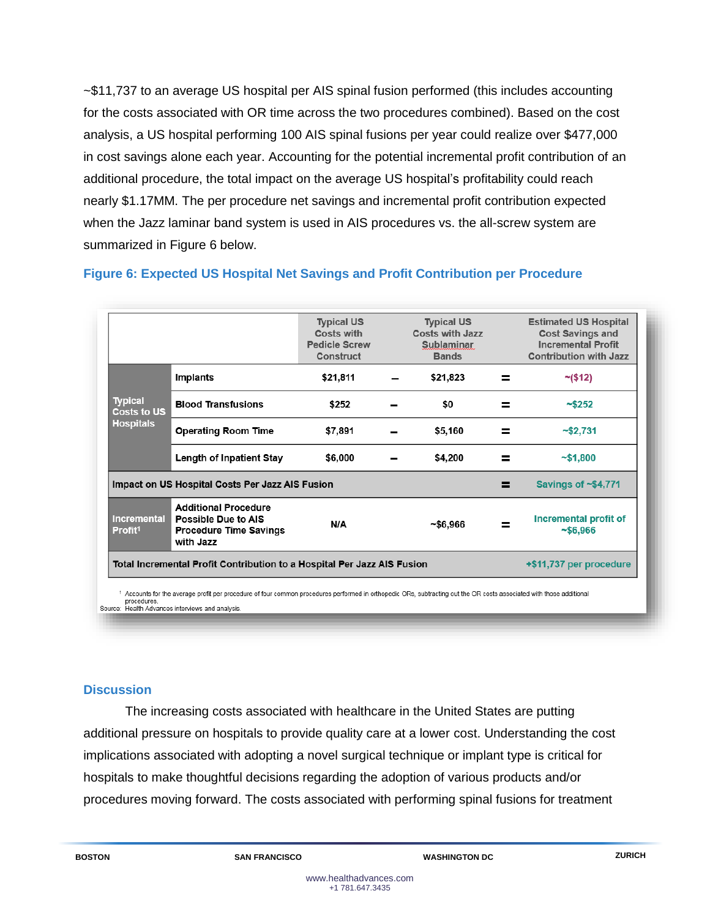~\$11,737 to an average US hospital per AIS spinal fusion performed (this includes accounting for the costs associated with OR time across the two procedures combined). Based on the cost analysis, a US hospital performing 100 AIS spinal fusions per year could realize over \$477,000 in cost savings alone each year. Accounting for the potential incremental profit contribution of an additional procedure, the total impact on the average US hospital's profitability could reach nearly \$1.17MM. The per procedure net savings and incremental profit contribution expected when the Jazz laminar band system is used in AIS procedures vs. the all-screw system are summarized in Figure 6 below.

|                                                          |                                                                                                  | <b>Typical US</b><br>Costs with<br><b>Pedicle Screw</b><br><b>Construct</b> | <b>Typical US</b><br>Costs with Jazz<br><b>Sublaminar</b><br><b>Bands</b> |   | <b>Estimated US Hospital</b><br><b>Cost Savings and</b><br><b>Incremental Profit</b><br><b>Contribution with Jazz</b> |
|----------------------------------------------------------|--------------------------------------------------------------------------------------------------|-----------------------------------------------------------------------------|---------------------------------------------------------------------------|---|-----------------------------------------------------------------------------------------------------------------------|
|                                                          | <b>Implants</b>                                                                                  | \$21,811                                                                    | \$21,823                                                                  |   | $-(\$12)$                                                                                                             |
| <b>Typical</b><br><b>Costs to US</b><br><b>Hospitals</b> | <b>Blood Transfusions</b>                                                                        | \$252                                                                       | \$0                                                                       | = | ~\$252                                                                                                                |
|                                                          | <b>Operating Room Time</b>                                                                       | \$7,891                                                                     | \$5,160                                                                   |   | $-$ \$2,731                                                                                                           |
|                                                          | <b>Length of Inpatient Stay</b>                                                                  | \$6,000                                                                     | \$4,200                                                                   |   | ~1,800                                                                                                                |
|                                                          | Impact on US Hospital Costs Per Jazz AIS Fusion                                                  |                                                                             |                                                                           | ⋍ | Savings of $~54,771$                                                                                                  |
| Incremental<br>Profit <sup>1</sup>                       | <b>Additional Procedure</b><br>Possible Due to AIS<br><b>Procedure Time Savings</b><br>with Jazz | N/A                                                                         | $-$ \$6,966                                                               |   | Incremental profit of<br>$-$ \$6,966                                                                                  |
|                                                          | Total Incremental Profit Contribution to a Hospital Per Jazz AIS Fusion                          |                                                                             |                                                                           |   | +\$11,737 per procedure                                                                                               |

## **Figure 6: Expected US Hospital Net Savings and Profit Contribution per Procedure**

### **Discussion**

The increasing costs associated with healthcare in the United States are putting additional pressure on hospitals to provide quality care at a lower cost. Understanding the cost implications associated with adopting a novel surgical technique or implant type is critical for hospitals to make thoughtful decisions regarding the adoption of various products and/or procedures moving forward. The costs associated with performing spinal fusions for treatment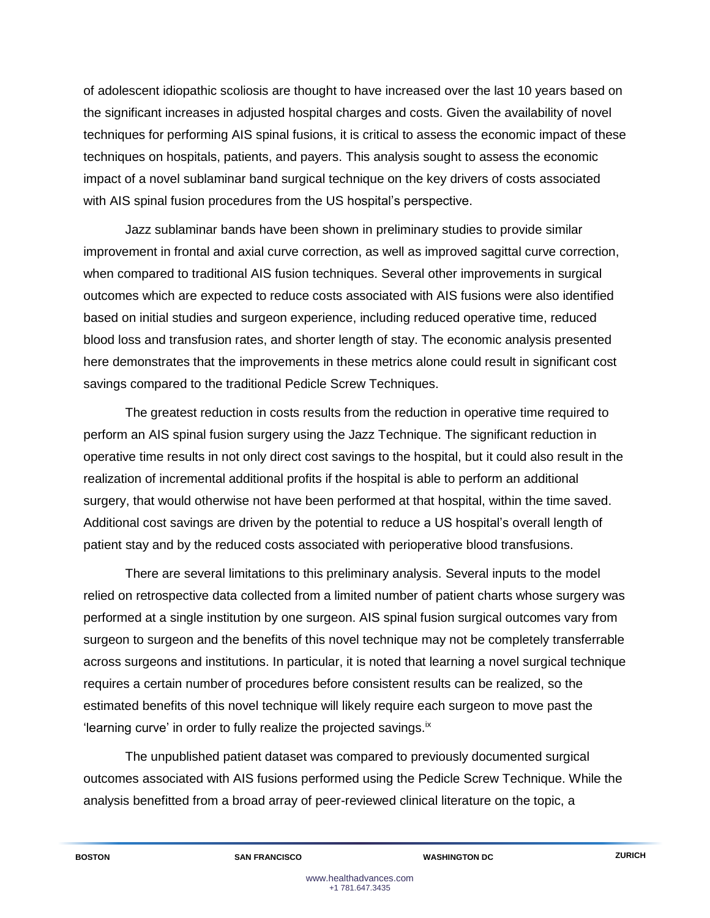of adolescent idiopathic scoliosis are thought to have increased over the last 10 years based on the significant increases in adjusted hospital charges and costs. Given the availability of novel techniques for performing AIS spinal fusions, it is critical to assess the economic impact of these techniques on hospitals, patients, and payers. This analysis sought to assess the economic impact of a novel sublaminar band surgical technique on the key drivers of costs associated with AIS spinal fusion procedures from the US hospital's perspective.

Jazz sublaminar bands have been shown in preliminary studies to provide similar improvement in frontal and axial curve correction, as well as improved sagittal curve correction, when compared to traditional AIS fusion techniques. Several other improvements in surgical outcomes which are expected to reduce costs associated with AIS fusions were also identified based on initial studies and surgeon experience, including reduced operative time, reduced blood loss and transfusion rates, and shorter length of stay. The economic analysis presented here demonstrates that the improvements in these metrics alone could result in significant cost savings compared to the traditional Pedicle Screw Techniques.

The greatest reduction in costs results from the reduction in operative time required to perform an AIS spinal fusion surgery using the Jazz Technique. The significant reduction in operative time results in not only direct cost savings to the hospital, but it could also result in the realization of incremental additional profits if the hospital is able to perform an additional surgery, that would otherwise not have been performed at that hospital, within the time saved. Additional cost savings are driven by the potential to reduce a US hospital's overall length of patient stay and by the reduced costs associated with perioperative blood transfusions.

There are several limitations to this preliminary analysis. Several inputs to the model relied on retrospective data collected from a limited number of patient charts whose surgery was performed at a single institution by one surgeon. AIS spinal fusion surgical outcomes vary from surgeon to surgeon and the benefits of this novel technique may not be completely transferrable across surgeons and institutions. In particular, it is noted that learning a novel surgical technique requires a certain number of procedures before consistent results can be realized, so the estimated benefits of this novel technique will likely require each surgeon to move past the 'learning curve' in order to fully realize the projected savings. $i<sup>x</sup>$ 

The unpublished patient dataset was compared to previously documented surgical outcomes associated with AIS fusions performed using the Pedicle Screw Technique. While the analysis benefitted from a broad array of peer-reviewed clinical literature on the topic, a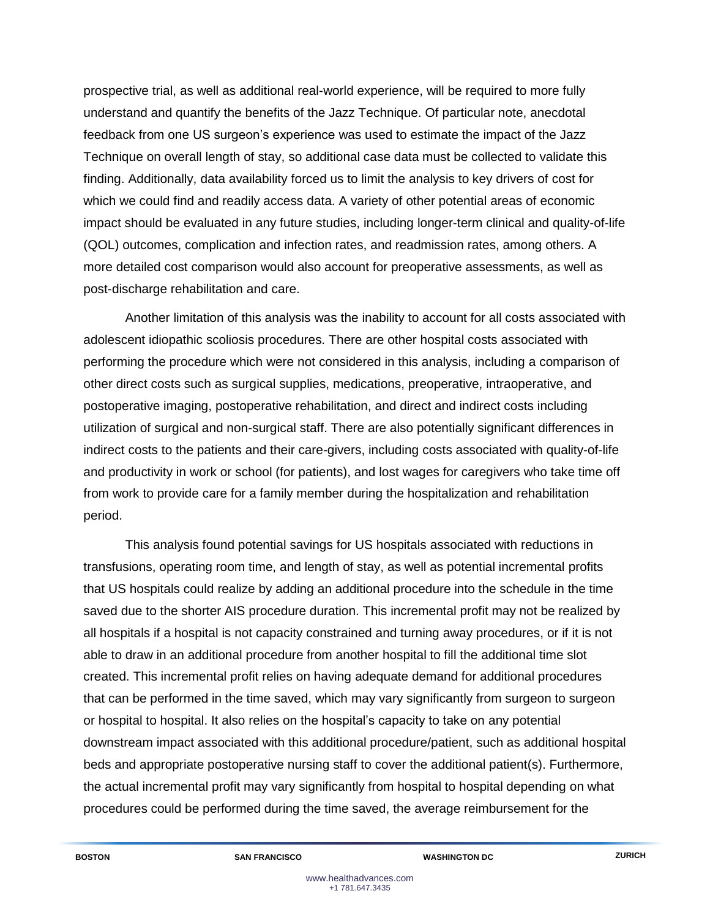prospective trial, as well as additional real-world experience, will be required to more fully understand and quantify the benefits of the Jazz Technique. Of particular note, anecdotal feedback from one US surgeon's experience was used to estimate the impact of the Jazz Technique on overall length of stay, so additional case data must be collected to validate this finding. Additionally, data availability forced us to limit the analysis to key drivers of cost for which we could find and readily access data. A variety of other potential areas of economic impact should be evaluated in any future studies, including longer-term clinical and quality-of-life (QOL) outcomes, complication and infection rates, and readmission rates, among others. A more detailed cost comparison would also account for preoperative assessments, as well as post-discharge rehabilitation and care.

Another limitation of this analysis was the inability to account for all costs associated with adolescent idiopathic scoliosis procedures. There are other hospital costs associated with performing the procedure which were not considered in this analysis, including a comparison of other direct costs such as surgical supplies, medications, preoperative, intraoperative, and postoperative imaging, postoperative rehabilitation, and direct and indirect costs including utilization of surgical and non-surgical staff. There are also potentially significant differences in indirect costs to the patients and their care-givers, including costs associated with quality-of-life and productivity in work or school (for patients), and lost wages for caregivers who take time off from work to provide care for a family member during the hospitalization and rehabilitation period.

This analysis found potential savings for US hospitals associated with reductions in transfusions, operating room time, and length of stay, as well as potential incremental profits that US hospitals could realize by adding an additional procedure into the schedule in the time saved due to the shorter AIS procedure duration. This incremental profit may not be realized by all hospitals if a hospital is not capacity constrained and turning away procedures, or if it is not able to draw in an additional procedure from another hospital to fill the additional time slot created. This incremental profit relies on having adequate demand for additional procedures that can be performed in the time saved, which may vary significantly from surgeon to surgeon or hospital to hospital. It also relies on the hospital's capacity to take on any potential downstream impact associated with this additional procedure/patient, such as additional hospital beds and appropriate postoperative nursing staff to cover the additional patient(s). Furthermore, the actual incremental profit may vary significantly from hospital to hospital depending on what procedures could be performed during the time saved, the average reimbursement for the